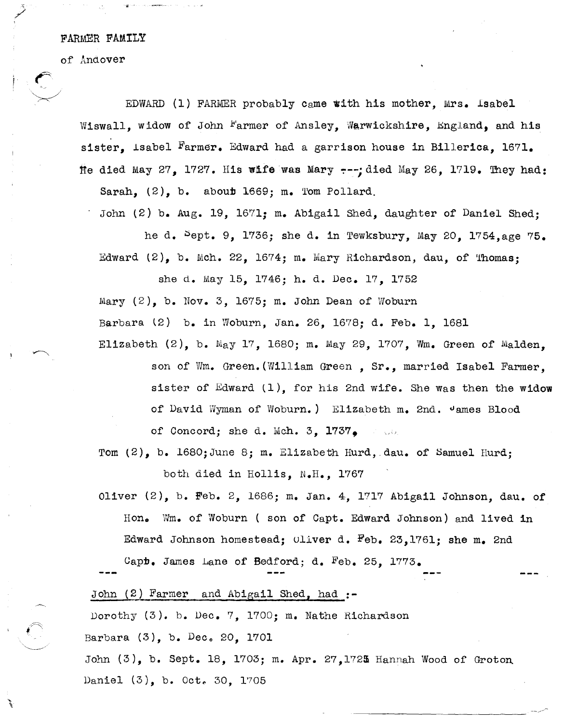FARMER FAMILY

of Anaover

" /

EDWARD (1) FARMER probably Came with his mother, Mrs. Isabel Wiswall, widow of John Farmer of Ansley, Warwickshire, England, and his sister, Isabel Farmer. Edward had a garrison house in Billerica, 1671. fie died May 27, 1727. His wife was Mary  $---$ ; died May 26, 1719. They had: Sarah,  $(2)$ , b. about 1669; m. Tom Pollard.

John (2) b. Aug. 19, 1671; m. Abigail Shed, daughter of Daniel Shed;

he d.  $5$ ept. 9, 1736; she d. in Tewksbury, May 20, 1754,age 75. Edward  $(2)$ , b. Mch. 22, 1674; m. Mary Richardson, dau, of 'Thomas;

she d. May 15, 1746; h. d. Dec. 17, 1752 Mary  $(2)$ , b. Nov. 3, 1675; m. John Dean of Woburn Barbara (2) b. in Woburn, Jan. 26, 1678; d. Feb. 1, 1681 Elizabeth  $(2)$ , b. May 17, 1680; m. May 29, 1707. Wm. Green of Malden.

son of Wm. Green. (William Green, Sr., married Isabel Farmer. sister of Edward (1), for his 2nd wife. She Was then the widow of David Wyman of Woburn.) Elizabeth m. 2nd. James Blood of Concord; she d. Mch. 3,  $1737$ .

Tom  $(2)$ , b. 1680;June 8; m. Elizabeth Hurd, dau. of Samuel Hurd;

both died in Hollis, N.H., 1767

Oliver  $(2)$ , b. Feb. 2, 1686; m. Jan. 4, 1717 Abigail Johnson, dau. of Hon. Wm. of Woburn ( son of Capt. Edward Johnson) and lived in Edward Johnson homestead;  $0$ liver d. Feb. 23,1761; she m. 2nd

Capb. James Lane of Bedford; d. Feb. 25, 1773.

John  $(2)$  Farmer and Abigail Shed, had :-

Dorothy (3). b. Dec. 7, 1700; m. Nathe Richardson

Barbara  $(3)$ , b. Dec. 20, 1701

John (3), b. Sept. 18, 1703; m. Apr. 27,1725 Hannah Wood of Groton Daniel (3), b. Oct. 30, 1705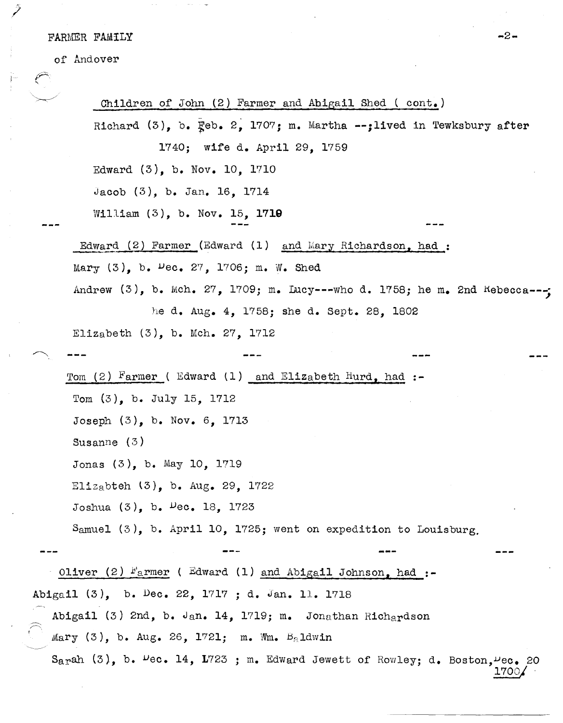## FARMER FAMILY  $-2-$

 $\tilde{}$ 

of Andover

)

-i

 $\begin{array}{c} \ddot{r} \\ \ddot{r} \end{array}$ 

 $\ddot{\phantom{a}}$  $\bar{1}$ 

 $\overline{\phantom{a}}$ 

 $\ddot{\phantom{a}}$ 

| Children of John (2) Farmer and Abigail Shed (cont.)                                      |                              |                                           |  |                                  |  |
|-------------------------------------------------------------------------------------------|------------------------------|-------------------------------------------|--|----------------------------------|--|
| Richard $(3)$ , b. $\mathbb{F}_{0}$ eb. 2, 1707; m. Martha --; lived in Tewksbury after   |                              |                                           |  |                                  |  |
|                                                                                           | 1740; wife d. April 29, 1759 |                                           |  |                                  |  |
| Edward $(3)$ , b. Nov. 10, 1710                                                           |                              |                                           |  |                                  |  |
| Jacob $(3)$ , b. Jan. 16, 1714                                                            |                              |                                           |  |                                  |  |
| William $(3)$ , b. Nov. 15, 1710                                                          |                              |                                           |  |                                  |  |
| Edward (2) Farmer (Edward (1) and Mary Richardson, had:                                   |                              |                                           |  |                                  |  |
| Mary $(3)$ , b. $\mu$ ec. 27, 1706; m. W. Shed                                            |                              |                                           |  |                                  |  |
| Andrew $(3)$ , b. Mch. 27, 1709; m. Lucy---who d. 1758; he m. 2nd Kebecca---;             |                              |                                           |  |                                  |  |
|                                                                                           |                              | he d. Aug. 4, 1758; she d. Sept. 28, 1802 |  |                                  |  |
| Elizabeth $(3)$ , b. Mch. 27, 1712                                                        |                              |                                           |  |                                  |  |
|                                                                                           |                              |                                           |  |                                  |  |
| Tom (2) Farmer (Edward (1) and Elizabeth Hurd, had $:$                                    |                              |                                           |  |                                  |  |
| Tom $(3)$ , b. July 15, 1712                                                              |                              |                                           |  |                                  |  |
| Joseph $(3)$ , b. Nov. 6, 1713                                                            |                              |                                           |  |                                  |  |
| Susanne $(3)$                                                                             |                              |                                           |  |                                  |  |
| Jonas $(3)$ , b. May 10, 1719                                                             |                              |                                           |  |                                  |  |
| Elizabteh $(3)$ , b. Aug. 29, 1722                                                        |                              |                                           |  |                                  |  |
| Joshua $(3)$ , b. $Pec. 18$ , 1723                                                        |                              |                                           |  |                                  |  |
| Samuel $(3)$ , b. April 10, 1725; went on expedition to Louisburg.                        |                              |                                           |  |                                  |  |
|                                                                                           |                              |                                           |  |                                  |  |
| Oliver (2) $F_{\text{a}}$ rmer (Edward (1) and Abigail Johnson, had :-                    |                              |                                           |  |                                  |  |
| Abigail (3), b. Dec. 22, 1717; d. Jan. 11. 1718                                           |                              |                                           |  |                                  |  |
| Abigail (3) 2nd, b. Jan. 14, 1719; m. Jonathan Richardson                                 |                              |                                           |  |                                  |  |
| $Mary (3)$ , b. Aug. 26, 1721; m. Wm. $Ba1dwin$                                           |                              |                                           |  |                                  |  |
| Sarah $(3)$ , b. $\mu$ ec. 14, 1723 ; m. Edward Jewett of Rowley; d. Boston, $\mu$ ec. 20 |                              |                                           |  | $1700\textcolor{white}{\bullet}$ |  |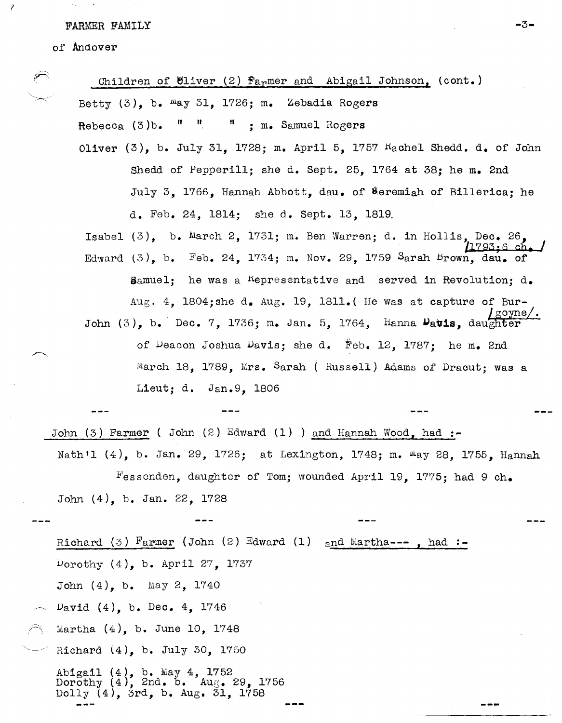FARMER FAMILY

## of Andover

1

Children of Uliver  $(2)$  farmer and Abigail Johnson, (cont.) Betty  $(3)$ , b.  $\text{May } 31$ , 1726; m. Zebadia Rogers Rebecca (3)b. " " <sup>n</sup>; m. Samuel Rogers Oliver  $(3)$ , b. July 31, 1728; m. April 5, 1757  $K_{\alpha}$ chel Shedd. d. of John Shedd of Pepperill; she d. Sept. 25, 1764 at 38; he m. 2nd July 3, 1766, Hannah Abbott, dau. of Meremiah of Billerica; he d. Feb. 24, 1814; she d. Sept. 13, 1819. Isabel  $(3)$ , b. March 2, 1731; m. Ben Warren; d. in Hollis, Dec. 26,  $1793; 6$   $ch.$ Edward  $(3)$ , b. Feb. 24, 1734; m. Nov. 29, 1759 Sarah Brown, dau. of Samuel: he was a nepresentative and served in Revolution;  $d_{\bullet}$ Aug. 4, 1804;she d. Aug. 19, 1811.( He was at capture of Bur-<br>John (3), b. Dec. 7, 1736; m. Jan. 5, 1764, Hanna Datis, daughter of ueacon Joshua Davis; she d. Feb. 12, 1787; he m. 2nd March 18, 1789, Mrs. Sarah ( Russell) Adams of Dracut; was a Lieut; d. Jan.9, 1806 John (3) Farmer ( John (2) Edward (1) ) and Hannah Wood, had **:-** Nath'l (4), b. Jan. 29, 1726; at Lexington, 1748; m. May 28, 1755, Hannah Fessenden, daughter of Tom; wounded April 19, 1775; had 9 ch. John (4), b. Jan. 22, 1728 Richard (3) Farmer (John (2) Edward (1) and Martha---, had:-Vorothy (4), b. April 27, 1737 John (4), b. May 2, 1740  $D$ avid  $(4)$ , b. Dec.  $4$ , 1746 Martha (4), b. June 10, 1748 Richard l4), b. July 30, 1750

Abigail (4), b. May 4, 1752 Dorothy  $(4)$ , 2nd. b. Aug. 29, 1756 Dorothy  $(4)$ , 2nd. b. Aug. 29, 1756<br>Dolly  $(4)$ , 3rd, b. Aug. 31, 1758

-3-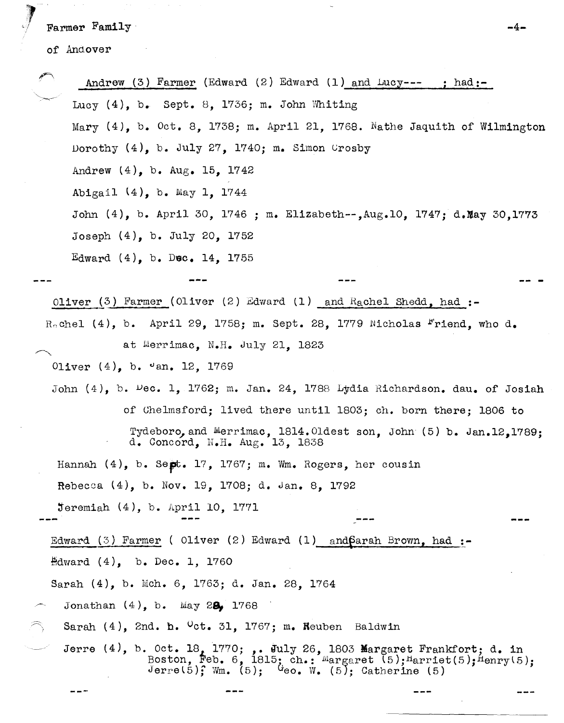Farmer Family

 $\sim$   $\sim$ 

of Andover

|                                                                                           | Andrew (3) Farmer (Edward (2) Edward (1) and $\text{Lucy---}$ ; had:                                                                                                                  |  |  |  |
|-------------------------------------------------------------------------------------------|---------------------------------------------------------------------------------------------------------------------------------------------------------------------------------------|--|--|--|
|                                                                                           | Lucy $(4)$ , b. Sept. 8, 1736; m. John Whiting                                                                                                                                        |  |  |  |
|                                                                                           | Mary (4), b. Oct. 8, 1738; m. April 21, 1768. Nathe Jaquith of Wilmington                                                                                                             |  |  |  |
|                                                                                           | Dorothy $(4)$ , b. July 27, 1740; m. Simon Crosby                                                                                                                                     |  |  |  |
|                                                                                           | Andrew $(4)$ , b. $Aug. 15$ , 1742                                                                                                                                                    |  |  |  |
|                                                                                           | Abigail (4), b. May 1, 1744                                                                                                                                                           |  |  |  |
| John $(4)$ , b. April 30, 1746 ; m. Elizabeth--, Aug. 10, 1747; d. May 30, 1773           |                                                                                                                                                                                       |  |  |  |
| Joseph $(4)$ , b. July 20, 1752                                                           |                                                                                                                                                                                       |  |  |  |
|                                                                                           | Edward $(4)$ , b. Dec. 14, 1755                                                                                                                                                       |  |  |  |
|                                                                                           |                                                                                                                                                                                       |  |  |  |
| Oliver (3) Farmer (Oliver (2) Edward (1) and Rachel Shedd, had :-                         |                                                                                                                                                                                       |  |  |  |
|                                                                                           | Rochel (4), b. April 29, 1758; m. Sept. 28, 1779 Nicholas Friend, who d.                                                                                                              |  |  |  |
| at Merrimac, N.H. July 21, 1823                                                           |                                                                                                                                                                                       |  |  |  |
| Oliver $(4)$ , b. $\sigma$ an. 12, 1769                                                   |                                                                                                                                                                                       |  |  |  |
| John $(4)$ , b. $\upsilon$ ec. 1, 1762; m. Jan. 24, 1788 Lydia Richardson. dau. of Josiah |                                                                                                                                                                                       |  |  |  |
|                                                                                           | of Chelmsford; lived there until 1803; ch. born there; 1806 to                                                                                                                        |  |  |  |
|                                                                                           | Tydeboro, and Merrimac, 1814. Oldest son, John (5) b. Jan.12,1789;<br>d. Concord, N.H. Aug. 13, 1838                                                                                  |  |  |  |
|                                                                                           | Hannah $(4)$ , b. Sept. 17, 1767; m. Wm. Rogers, her cousin                                                                                                                           |  |  |  |
|                                                                                           | Rebecca (4), b. Nov. 19, 1708; d. Jan. 8, 1792                                                                                                                                        |  |  |  |
|                                                                                           | $\texttt{feremiah}$ (4), b. April 10, 1771                                                                                                                                            |  |  |  |
|                                                                                           | Edward $(3)$ Farmer (Oliver $(2)$ Edward $(1)$ and $\beta$ arah Brown, had :-                                                                                                         |  |  |  |
| Edward $(4)$ , b. Dec. 1, 1760                                                            |                                                                                                                                                                                       |  |  |  |
| Sarah (4), b. Mch. 6, 1763; d. Jan. 28, 1764                                              |                                                                                                                                                                                       |  |  |  |
| Jonathan $(4)$ , b. May 28, 1768                                                          |                                                                                                                                                                                       |  |  |  |
|                                                                                           | Sarah $(4)$ , 2nd. h. $0$ ct. 31, 1767; m. Reuben Baldwin                                                                                                                             |  |  |  |
|                                                                                           | Jerre (4), b. Oct. 18, 1770;  July 26, 1803 Margaret Frankfort; d. in<br>Boston, Feb. 6, 1815; ch.: Margaret (5); Marriet(5); Menry(5); Jerre(5); Wm. (5); Geo. W. (5); Catherine (5) |  |  |  |

 $\frac{1}{2}$ 

 $=$   $-$